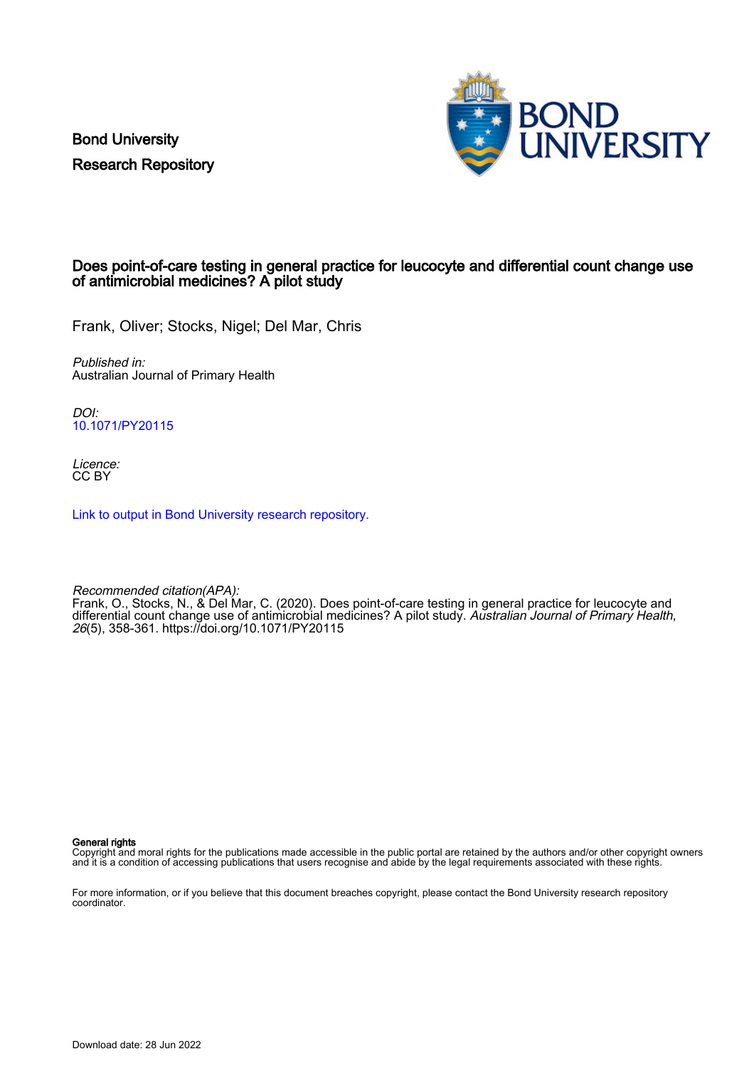Bond University Research Repository



# Does point-of-care testing in general practice for leucocyte and differential count change use of antimicrobial medicines? A pilot study

Frank, Oliver; Stocks, Nigel; Del Mar, Chris

Published in: Australian Journal of Primary Health

DOI: [10.1071/PY20115](https://doi.org/10.1071/PY20115)

Licence: CC BY

[Link to output in Bond University research repository.](https://research.bond.edu.au/en/publications/0ec26247-6d1d-4747-87e4-29b9c622d2df)

Recommended citation(APA): Frank, O., Stocks, N., & Del Mar, C. (2020). Does point-of-care testing in general practice for leucocyte and differential count change use of antimicrobial medicines? A pilot study. Australian Journal of Primary Health, 26(5), 358-361.<https://doi.org/10.1071/PY20115>

General rights

Copyright and moral rights for the publications made accessible in the public portal are retained by the authors and/or other copyright owners and it is a condition of accessing publications that users recognise and abide by the legal requirements associated with these rights.

For more information, or if you believe that this document breaches copyright, please contact the Bond University research repository coordinator.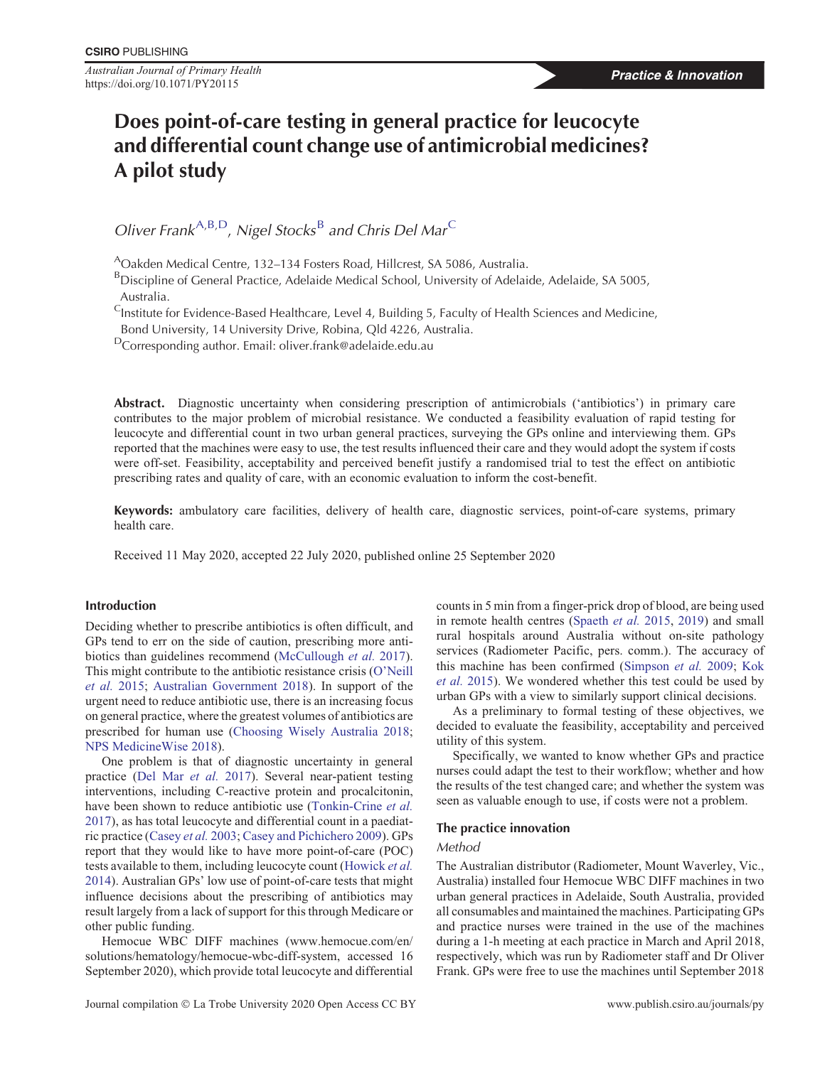*Australian Journal of Primary Health* https://doi.org/10.1071/PY20115

# **Does point-of-care testing in general practice for leucocyte and differential count change use of antimicrobial medicines? A pilot study**

*Oliver Frank*<sup>A,B,D</sup>, *Nigel Stocks*<sup>B</sup> *and Chris Del Mar*<sup>C</sup>

AOakden Medical Centre, 132–134 Fosters Road, Hillcrest, SA 5086, Australia.

BDiscipline of General Practice, Adelaide Medical School, University of Adelaide, Adelaide, SA 5005, Australia.

<sup>C</sup>Institute for Evidence-Based Healthcare, Level 4, Building 5, Faculty of Health Sciences and Medicine,

Bond University, 14 University Drive, Robina, Qld 4226, Australia.

DCorresponding author. Email: oliver.frank@adelaide.edu.au

**Abstract.** Diagnostic uncertainty when considering prescription of antimicrobials ('antibiotics') in primary care contributes to the major problem of microbial resistance. We conducted a feasibility evaluation of rapid testing for leucocyte and differential count in two urban general practices, surveying the GPs online and interviewing them. GPs reported that the machines were easy to use, the test results influenced their care and they would adopt the system if costs were off-set. Feasibility, acceptability and perceived benefit justify a randomised trial to test the effect on antibiotic prescribing rates and quality of care, with an economic evaluation to inform the cost-benefit.

**Keywords:** ambulatory care facilities, delivery of health care, diagnostic services, point-of-care systems, primary health care.

Received 11 May 2020, accepted 22 July 2020, published online 25 September 2020

# **Introduction**

Deciding whether to prescribe antibiotics is often difficult, and GPs tend to err on the side of caution, prescribing more antibiotics than guidelines recommend ([McCullough](#page-3-0) *et al.* 2017). This might contribute to the antibiotic resistance crisis ([O'Neill](#page-4-0) *[et al.](#page-4-0)* 2015; [Australian Government 2018](#page-3-0)). In support of the urgent need to reduce antibiotic use, there is an increasing focus on general practice, where the greatest volumes of antibiotics are prescribed for human use [\(Choosing Wisely Australia 2018](#page-3-0); [NPS MedicineWise 2018\)](#page-4-0).

One problem is that of diagnostic uncertainty in general practice [\(Del Mar](#page-3-0) *et al.* 2017). Several near-patient testing interventions, including C-reactive protein and procalcitonin, have been shown to reduce antibiotic use ([Tonkin-Crine](#page-4-0) *et al.* [2017](#page-4-0)), as has total leucocyte and differential count in a paediatric practice [\(Casey](#page-3-0) *et al.* 2003; [Casey and Pichichero 2009\)](#page-3-0). GPs report that they would like to have more point-of-care (POC) tests available to them, including leucocyte count ([Howick](#page-3-0) *et al.* [2014](#page-3-0)). Australian GPs' low use of point-of-care tests that might influence decisions about the prescribing of antibiotics may result largely from a lack of support for this through Medicare or other public funding.

Hemocue WBC DIFF machines ([www.hemocue.com/en/](http://www.hemocue.com/en/solutions/hematology/hemocue-wbc-diff-system) [solutions/hematology/hemocue-wbc-diff-system](http://www.hemocue.com/en/solutions/hematology/hemocue-wbc-diff-system), accessed 16 September 2020), which provide total leucocyte and differential counts in 5 min from a finger-prick drop of blood, are being used in remote health centres ([Spaeth](#page-4-0) *et al.* 2015, [2019\)](#page-4-0) and small rural hospitals around Australia without on-site pathology services (Radiometer Pacific, pers. comm.). The accuracy of this machine has been confirmed [\(Simpson](#page-4-0) *et al.* 2009; [Kok](#page-3-0) *[et al.](#page-3-0)* 2015). We wondered whether this test could be used by urban GPs with a view to similarly support clinical decisions.

As a preliminary to formal testing of these objectives, we decided to evaluate the feasibility, acceptability and perceived utility of this system.

Specifically, we wanted to know whether GPs and practice nurses could adapt the test to their workflow; whether and how the results of the test changed care; and whether the system was seen as valuable enough to use, if costs were not a problem.

## **The practice innovation**

# *Method*

The Australian distributor (Radiometer, Mount Waverley, Vic., Australia) installed four Hemocue WBC DIFF machines in two urban general practices in Adelaide, South Australia, provided all consumables and maintained the machines. Participating GPs and practice nurses were trained in the use of the machines during a 1-h meeting at each practice in March and April 2018, respectively, which was run by Radiometer staff and Dr Oliver Frank. GPs were free to use the machines until September 2018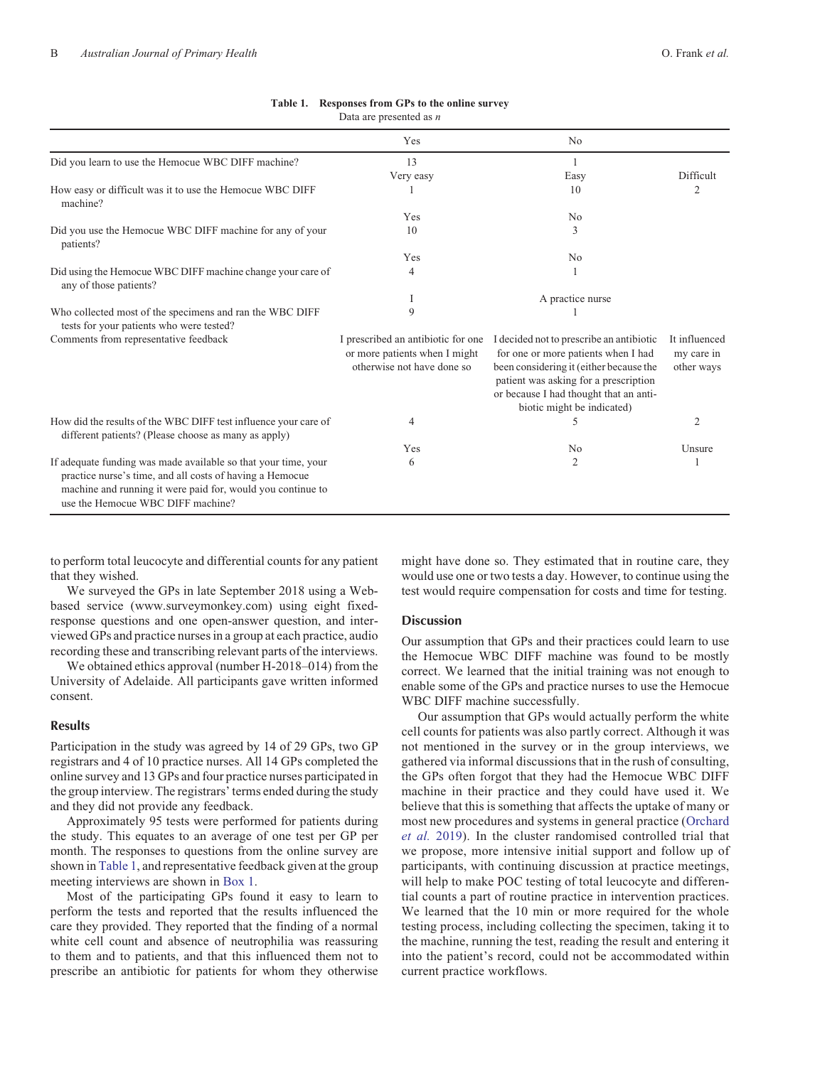|                                                                                                                                                                                                                                | Yes                                                                                               | N <sub>0</sub>                                                                                                                                                                                                                              |                                           |
|--------------------------------------------------------------------------------------------------------------------------------------------------------------------------------------------------------------------------------|---------------------------------------------------------------------------------------------------|---------------------------------------------------------------------------------------------------------------------------------------------------------------------------------------------------------------------------------------------|-------------------------------------------|
| Did you learn to use the Hemocue WBC DIFF machine?                                                                                                                                                                             | 13                                                                                                |                                                                                                                                                                                                                                             |                                           |
|                                                                                                                                                                                                                                | Very easy                                                                                         | Easy                                                                                                                                                                                                                                        | Difficult                                 |
| How easy or difficult was it to use the Hemocue WBC DIFF<br>machine?                                                                                                                                                           |                                                                                                   | 10                                                                                                                                                                                                                                          | 2                                         |
|                                                                                                                                                                                                                                | Yes                                                                                               | No                                                                                                                                                                                                                                          |                                           |
| Did you use the Hemocue WBC DIFF machine for any of your<br>patients?                                                                                                                                                          | 10                                                                                                | 3                                                                                                                                                                                                                                           |                                           |
|                                                                                                                                                                                                                                | Yes                                                                                               | N <sub>0</sub>                                                                                                                                                                                                                              |                                           |
| Did using the Hemocue WBC DIFF machine change your care of<br>any of those patients?                                                                                                                                           | 4                                                                                                 |                                                                                                                                                                                                                                             |                                           |
|                                                                                                                                                                                                                                | Ι                                                                                                 | A practice nurse                                                                                                                                                                                                                            |                                           |
| Who collected most of the specimens and ran the WBC DIFF<br>tests for your patients who were tested?                                                                                                                           | 9                                                                                                 |                                                                                                                                                                                                                                             |                                           |
| Comments from representative feedback                                                                                                                                                                                          | I prescribed an antibiotic for one<br>or more patients when I might<br>otherwise not have done so | I decided not to prescribe an antibiotic<br>for one or more patients when I had<br>been considering it (either because the<br>patient was asking for a prescription<br>or because I had thought that an anti-<br>biotic might be indicated) | It influenced<br>my care in<br>other ways |
| How did the results of the WBC DIFF test influence your care of<br>different patients? (Please choose as many as apply)                                                                                                        | 4                                                                                                 |                                                                                                                                                                                                                                             | $\overline{2}$                            |
|                                                                                                                                                                                                                                | Yes                                                                                               | N <sub>0</sub>                                                                                                                                                                                                                              | Unsure                                    |
| If adequate funding was made available so that your time, your<br>practice nurse's time, and all costs of having a Hemocue<br>machine and running it were paid for, would you continue to<br>use the Hemocue WBC DIFF machine? | 6                                                                                                 | 2                                                                                                                                                                                                                                           |                                           |

# **Table 1. Responses from GPs to the online survey**

Data are presented as *n*

to perform total leucocyte and differential counts for any patient that they wished.

We surveyed the GPs in late September 2018 using a Webbased service ([www.surveymonkey.com\)](http://www.surveymonkey.com) using eight fixedresponse questions and one open-answer question, and interviewed GPs and practice nurses in a group at each practice, audio recording these and transcribing relevant parts of the interviews.

We obtained ethics approval (number H-2018–014) from the University of Adelaide. All participants gave written informed consent.

# **Results**

Participation in the study was agreed by 14 of 29 GPs, two GP registrars and 4 of 10 practice nurses. All 14 GPs completed the online survey and 13 GPs and four practice nurses participated in the group interview. The registrars' terms ended during the study and they did not provide any feedback.

Approximately 95 tests were performed for patients during the study. This equates to an average of one test per GP per month. The responses to questions from the online survey are shown in Table 1, and representative feedback given at the group meeting interviews are shown in [Box 1.](#page-3-0)

Most of the participating GPs found it easy to learn to perform the tests and reported that the results influenced the care they provided. They reported that the finding of a normal white cell count and absence of neutrophilia was reassuring to them and to patients, and that this influenced them not to prescribe an antibiotic for patients for whom they otherwise might have done so. They estimated that in routine care, they would use one or two tests a day. However, to continue using the test would require compensation for costs and time for testing.

# **Discussion**

Our assumption that GPs and their practices could learn to use the Hemocue WBC DIFF machine was found to be mostly correct. We learned that the initial training was not enough to enable some of the GPs and practice nurses to use the Hemocue WBC DIFF machine successfully.

Our assumption that GPs would actually perform the white cell counts for patients was also partly correct. Although it was not mentioned in the survey or in the group interviews, we gathered via informal discussions that in the rush of consulting, the GPs often forgot that they had the Hemocue WBC DIFF machine in their practice and they could have used it. We believe that this is something that affects the uptake of many or most new procedures and systems in general practice [\(Orchard](#page-4-0) *[et al.](#page-4-0)* 2019). In the cluster randomised controlled trial that we propose, more intensive initial support and follow up of participants, with continuing discussion at practice meetings, will help to make POC testing of total leucocyte and differential counts a part of routine practice in intervention practices. We learned that the 10 min or more required for the whole testing process, including collecting the specimen, taking it to the machine, running the test, reading the result and entering it into the patient's record, could not be accommodated within current practice workflows.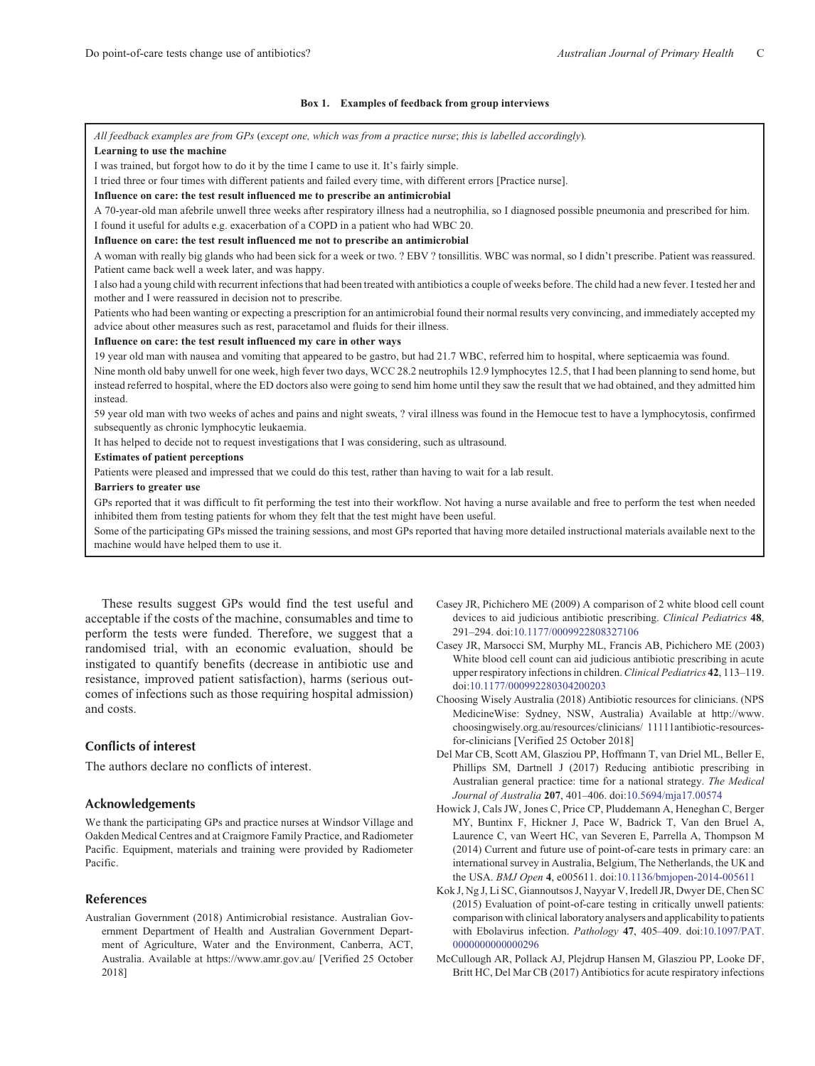#### **Box 1. Examples of feedback from group interviews**

<span id="page-3-0"></span>*All feedback examples are from GPs* (*except one, which was from a practice nurse*; *this is labelled accordingly*)*.* **Learning to use the machine**

I was trained, but forgot how to do it by the time I came to use it. It's fairly simple.

I tried three or four times with different patients and failed every time, with different errors [Practice nurse].

**Influence on care: the test result influenced me to prescribe an antimicrobial**

A 70-year-old man afebrile unwell three weeks after respiratory illness had a neutrophilia, so I diagnosed possible pneumonia and prescribed for him. I found it useful for adults e.g. exacerbation of a COPD in a patient who had WBC 20.

**Influence on care: the test result influenced me not to prescribe an antimicrobial**

A woman with really big glands who had been sick for a week or two. ? EBV ? tonsillitis. WBC was normal, so I didn't prescribe. Patient was reassured. Patient came back well a week later, and was happy.

I also had a young child with recurrent infections that had been treated with antibiotics a couple of weeks before. The child had a new fever. I tested her and mother and I were reassured in decision not to prescribe.

Patients who had been wanting or expecting a prescription for an antimicrobial found their normal results very convincing, and immediately accepted my advice about other measures such as rest, paracetamol and fluids for their illness.

#### **Influence on care: the test result influenced my care in other ways**

19 year old man with nausea and vomiting that appeared to be gastro, but had 21.7 WBC, referred him to hospital, where septicaemia was found.

Nine month old baby unwell for one week, high fever two days, WCC 28.2 neutrophils 12.9 lymphocytes 12.5, that I had been planning to send home, but instead referred to hospital, where the ED doctors also were going to send him home until they saw the result that we had obtained, and they admitted him instead.

59 year old man with two weeks of aches and pains and night sweats, ? viral illness was found in the Hemocue test to have a lymphocytosis, confirmed subsequently as chronic lymphocytic leukaemia.

It has helped to decide not to request investigations that I was considering, such as ultrasound.

#### **Estimates of patient perceptions**

Patients were pleased and impressed that we could do this test, rather than having to wait for a lab result.

#### **Barriers to greater use**

GPs reported that it was difficult to fit performing the test into their workflow. Not having a nurse available and free to perform the test when needed inhibited them from testing patients for whom they felt that the test might have been useful.

Some of the participating GPs missed the training sessions, and most GPs reported that having more detailed instructional materials available next to the machine would have helped them to use it.

These results suggest GPs would find the test useful and acceptable if the costs of the machine, consumables and time to perform the tests were funded. Therefore, we suggest that a randomised trial, with an economic evaluation, should be instigated to quantify benefits (decrease in antibiotic use and resistance, improved patient satisfaction), harms (serious outcomes of infections such as those requiring hospital admission) and costs.

# **Conflicts of interest**

The authors declare no conflicts of interest.

### **Acknowledgements**

We thank the participating GPs and practice nurses at Windsor Village and Oakden Medical Centres and at Craigmore Family Practice, and Radiometer Pacific. Equipment, materials and training were provided by Radiometer Pacific.

# **References**

Australian Government (2018) Antimicrobial resistance. Australian Government Department of Health and Australian Government Department of Agriculture, Water and the Environment, Canberra, ACT, Australia. Available at<https://www.amr.gov.au/> [Verified 25 October 2018]

- Casey JR, Pichichero ME (2009) A comparison of 2 white blood cell count devices to aid judicious antibiotic prescribing. *Clinical Pediatrics* **48**, 291–294. doi[:10.1177/0009922808327106](http://dx.doi.org/10.1177/0009922808327106)
- Casey JR, Marsocci SM, Murphy ML, Francis AB, Pichichero ME (2003) White blood cell count can aid judicious antibiotic prescribing in acute upper respiratory infections in children.*Clinical Pediatrics* **42**, 113–119. doi[:10.1177/000992280304200203](http://dx.doi.org/10.1177/000992280304200203)
- Choosing Wisely Australia (2018) Antibiotic resources for clinicians. (NPS MedicineWise: Sydney, NSW, Australia) Available at [http://www.](http://www.choosingwisely.org.au/resources/clinicians/antibiotic-resources-for-clinicians) [choosingwisely.org.au/resources/clinicians/ 11111antibiotic-resources](http://www.choosingwisely.org.au/resources/clinicians/antibiotic-resources-for-clinicians)[for-clinicians](http://www.choosingwisely.org.au/resources/clinicians/antibiotic-resources-for-clinicians) [Verified 25 October 2018]
- Del Mar CB, Scott AM, Glasziou PP, Hoffmann T, van Driel ML, Beller E, Phillips SM, Dartnell J (2017) Reducing antibiotic prescribing in Australian general practice: time for a national strategy. *The Medical Journal of Australia* **207**, 401–406. doi:[10.5694/mja17.00574](http://dx.doi.org/10.5694/mja17.00574)
- Howick J, Cals JW, Jones C, Price CP, Pluddemann A, Heneghan C, Berger MY, Buntinx F, Hickner J, Pace W, Badrick T, Van den Bruel A, Laurence C, van Weert HC, van Severen E, Parrella A, Thompson M (2014) Current and future use of point-of-care tests in primary care: an international survey in Australia, Belgium, The Netherlands, the UK and the USA. *BMJ Open* **4**, e005611. doi:[10.1136/bmjopen-2014-005611](http://dx.doi.org/10.1136/bmjopen-2014-005611)
- Kok J, Ng J, Li SC, Giannoutsos J, Nayyar V, Iredell JR, Dwyer DE, Chen SC (2015) Evaluation of point-of-care testing in critically unwell patients: comparison with clinical laboratory analysers and applicability to patients with Ebolavirus infection. *Pathology* **47**, 405–409. doi:[10.1097/PAT.](http://dx.doi.org/10.1097/PAT.0000000000000296) [0000000000000296](http://dx.doi.org/10.1097/PAT.0000000000000296)
- McCullough AR, Pollack AJ, Plejdrup Hansen M, Glasziou PP, Looke DF, Britt HC, Del Mar CB (2017) Antibiotics for acute respiratory infections